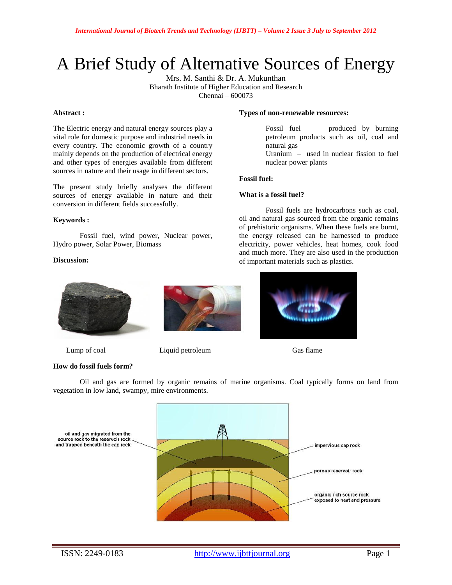# A Brief Study of Alternative Sources of Energy

Mrs. M. Santhi & Dr. A. Mukunthan Bharath Institute of Higher Education and Research Chennai – 600073

#### **Abstract :**

The Electric energy and natural energy sources play a vital role for domestic purpose and industrial needs in every country. The economic growth of a country mainly depends on the production of electrical energy and other types of energies available from different sources in nature and their usage in different sectors.

The present study briefly analyses the different sources of energy available in nature and their conversion in different fields successfully.

## **Keywords :**

Fossil fuel, wind power, Nuclear power, Hydro power, Solar Power, Biomass

## **Discussion:**



## **How do fossil fuels form?**



Lump of coal Liquid petroleum Gas flame

#### **Types of non-renewable resources:**

Fossil fuel – produced by burning petroleum products such as oil, coal and natural gas

Uranium – used in nuclear fission to fuel nuclear power plants

## **Fossil fuel:**

## **What is a fossil fuel?**

Fossil fuels are hydrocarbons such as coal, oil and natural gas sourced from the organic remains of prehistoric organisms. When these fuels are burnt, the energy released can be harnessed to produce electricity, power vehicles, heat homes, cook food and much more. They are also used in the production of important materials such as plastics.



Oil and gas are formed by organic remains of marine organisms. Coal typically forms on land from vegetation in low land, swampy, mire environments.

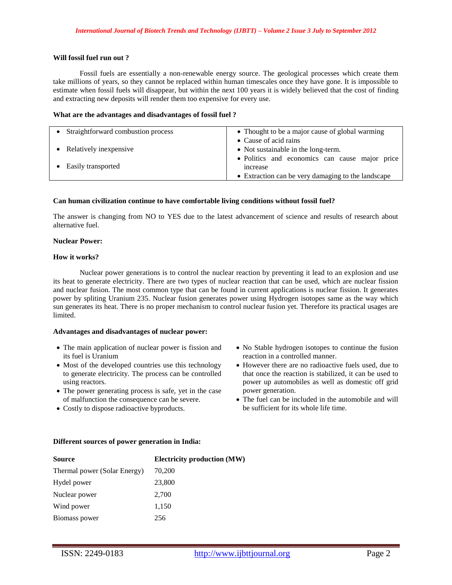## **Will fossil fuel run out ?**

Fossil fuels are essentially a non-renewable energy source. The geological processes which create them take millions of years, so they cannot be replaced within human timescales once they have gone. It is impossible to estimate when fossil fuels will disappear, but within the next 100 years it is widely believed that the cost of finding and extracting new deposits will render them too expensive for every use.

#### **What are the advantages and disadvantages of fossil fuel ?**

| • Straightforward combustion process | • Thought to be a major cause of global warming                  |
|--------------------------------------|------------------------------------------------------------------|
|                                      | • Cause of acid rains                                            |
| • Relatively in expensive            | • Not sustainable in the long-term.                              |
| • Easily transported                 | · Politics and economics can cause major price<br><i>ncrease</i> |
|                                      | • Extraction can be very damaging to the landscape               |

#### **Can human civilization continue to have comfortable living conditions without fossil fuel?**

The answer is changing from NO to YES due to the latest advancement of science and results of research about alternative fuel.

## **Nuclear Power:**

#### **How it works?**

Nuclear power generations is to control the nuclear reaction by preventing it lead to an explosion and use its heat to generate electricity. There are two types of nuclear reaction that can be used, which are nuclear fission and nuclear fusion. The most common type that can be found in current applications is nuclear fission. It generates power by spliting Uranium 235. Nuclear fusion generates power using Hydrogen isotopes same as the way which sun generates its heat. There is no proper mechanism to control nuclear fusion yet. Therefore its practical usages are limited.

## **Advantages and disadvantages of nuclear power:**

- The main application of nuclear power is fission and its fuel is Uranium
- Most of the developed countries use this technology to generate electricity. The process can be controlled using reactors.
- The power generating process is safe, yet in the case of malfunction the consequence can be severe.
- Costly to dispose radioactive byproducts.
- No Stable hydrogen isotopes to continue the fusion reaction in a controlled manner.
- However there are no radioactive fuels used, due to that once the reaction is stabilized, it can be used to power up automobiles as well as domestic off grid power generation.
- The fuel can be included in the automobile and will be sufficient for its whole life time.

## **Different sources of power generation in India:**

| <b>Source</b>                | <b>Electricity production (MW)</b> |
|------------------------------|------------------------------------|
| Thermal power (Solar Energy) | 70,200                             |
| Hydel power                  | 23,800                             |
| Nuclear power                | 2,700                              |
| Wind power                   | 1,150                              |
| Biomass power                | 256                                |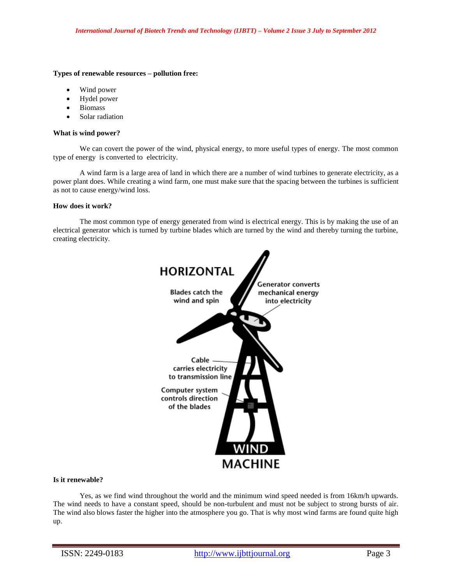## **Types of renewable resources – pollution free:**

- Wind power
- Hydel power
- Biomass
- Solar radiation

#### **What is wind power?**

We can covert the power of the wind, physical energy, to more useful types of energy. The most common type of energy is converted to electricity.

A wind farm is a large area of land in which there are a number of wind turbines to generate electricity, as a power plant does. While creating a wind farm, one must make sure that the spacing between the turbines is sufficient as not to cause energy/wind loss.

## **How does it work?**

The most common type of energy generated from wind is electrical energy. This is by making the use of an electrical generator which is turned by turbine blades which are turned by the wind and thereby turning the turbine, creating electricity.



# **Is it renewable?**

Yes, as we find wind throughout the world and the minimum wind speed needed is from 16km/h upwards. The wind needs to have a constant speed, should be non-turbulent and must not be subject to strong bursts of air. The wind also blows faster the higher into the atmosphere you go. That is why most wind farms are found quite high up.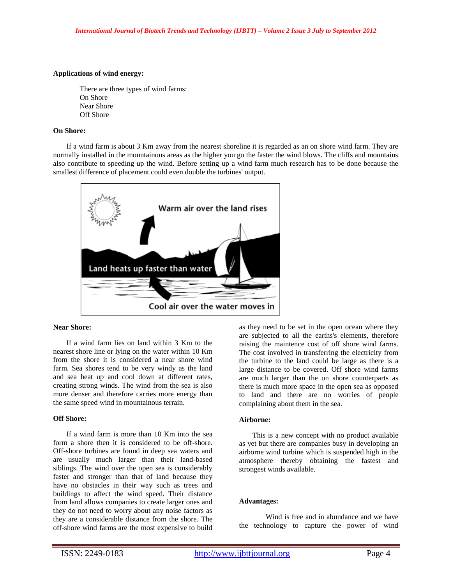## **Applications of wind energy:**

There are three types of wind farms: On Shore Near Shore Off Shore

## **On Shore:**

If a wind farm is about 3 Km away from the nearest shoreline it is regarded as an on shore wind farm. They are normally installed in the mountainous areas as the higher you go the faster the wind blows. The cliffs and mountains also contribute to speeding up the wind. Before setting up a wind farm much research has to be done because the smallest difference of placement could even double the turbines' output.



## **Near Shore:**

If a wind farm lies on land within 3 Km to the nearest shore line or lying on the water within 10 Km from the shore it is considered a near shore wind farm. Sea shores tend to be very windy as the land and sea heat up and cool down at different rates, creating strong winds. The wind from the sea is also more denser and therefore carries more energy than the same speed wind in mountainous terrain.

## **Off Shore:**

If a wind farm is more than 10 Km into the sea form a shore then it is considered to be off-shore. Off-shore turbines are found in deep sea waters and are usually much larger than their land-based siblings. The wind over the open sea is considerably faster and stronger than that of land because they have no obstacles in their way such as trees and buildings to affect the wind speed. Their distance from land allows companies to create larger ones and they do not need to worry about any noise factors as they are a considerable distance from the shore. The off-shore wind farms are the most expensive to build as they need to be set in the open ocean where they are subjected to all the earths's elements, therefore raising the maintence cost of off shore wind farms. The cost involved in transferring the electricity from the turbine to the land could be large as there is a large distance to be covered. Off shore wind farms are much larger than the on shore counterparts as there is much more space in the open sea as opposed to land and there are no worries of people complaining about them in the sea.

## **Airborne:**

This is a new concept with no product available as yet but there are companies busy in developing an airborne wind turbine which is suspended high in the atmosphere thereby obtaining the fastest and strongest winds available.

#### **Advantages:**

Wind is free and in abundance and we have the technology to capture the power of wind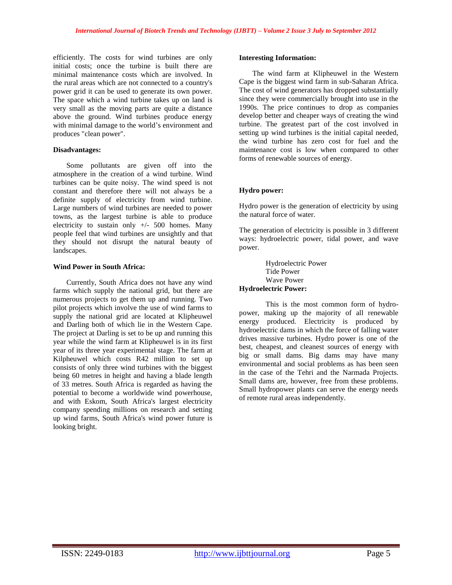efficiently. The costs for wind turbines are only initial costs; once the turbine is built there are minimal maintenance costs which are involved. In the rural areas which are not connected to a country's power grid it can be used to generate its own power. The space which a wind turbine takes up on land is very small as the moving parts are quite a distance above the ground. Wind turbines produce energy with minimal damage to the world's environment and produces "clean power".

# **Disadvantages:**

Some pollutants are given off into the atmosphere in the creation of a wind turbine. Wind turbines can be quite noisy. The wind speed is not constant and therefore there will not always be a definite supply of electricity from wind turbine. Large numbers of wind turbines are needed to power towns, as the largest turbine is able to produce electricity to sustain only  $+/-$  500 homes. Many people feel that wind turbines are unsightly and that they should not disrupt the natural beauty of landscapes.

# **Wind Power in South Africa:**

Currently, South Africa does not have any wind farms which supply the national grid, but there are numerous projects to get them up and running. Two pilot projects which involve the use of wind farms to supply the national grid are located at Klipheuwel and Darling both of which lie in the Western Cape. The project at Darling is set to be up and running this year while the wind farm at Klipheuwel is in its first year of its three year experimental stage. The farm at Kilpheuwel which costs R42 million to set up consists of only three wind turbines with the biggest being 60 metres in height and having a blade length of 33 metres. South Africa is regarded as having the potential to become a worldwide wind powerhouse, and with Eskom, South Africa's largest electricity company spending millions on research and setting up wind farms, South Africa's wind power future is looking bright.

## **Interesting Information:**

The wind farm at Klipheuwel in the Western Cape is the biggest wind farm in sub-Saharan Africa. The cost of wind generators has dropped substantially since they were commercially brought into use in the 1990s. The price continues to drop as companies develop better and cheaper ways of creating the wind turbine. The greatest part of the cost involved in setting up wind turbines is the initial capital needed, the wind turbine has zero cost for fuel and the maintenance cost is low when compared to other forms of renewable sources of energy.

# **Hydro power:**

Hydro power is the generation of electricity by using the natural force of water.

The generation of electricity is possible in 3 different ways: hydroelectric power, tidal power, and wave power.

Hydroelectric Power Tide Power Wave Power **Hydroelectric Power:**

This is the most common form of hydropower, making up the majority of all renewable energy produced. Electricity is produced by hydroelectric dams in which the force of falling water drives massive turbines. Hydro power is one of the best, cheapest, and cleanest sources of energy with big or small dams. Big dams may have many environmental and social problems as has been seen in the case of the Tehri and the Narmada Projects. Small dams are, however, free from these problems. Small hydropower plants can serve the energy needs of remote rural areas independently.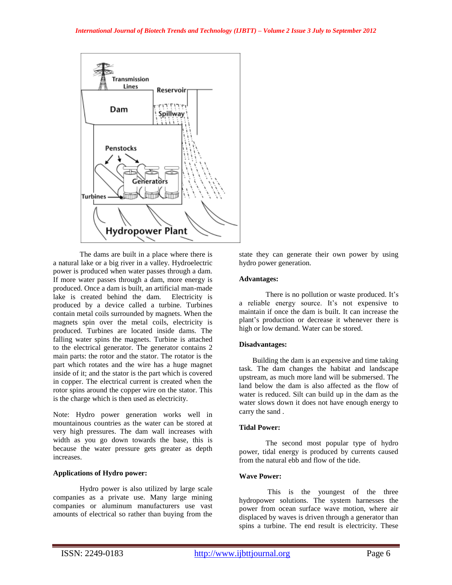

The dams are built in a place where there is a natural lake or a big river in a valley. Hydroelectric power is produced when water passes through a dam. If more water passes through a dam, more energy is produced. Once a dam is built, an artificial man-made lake is created behind the dam. Electricity is produced by a device called a turbine. Turbines contain metal coils surrounded by magnets. When the magnets spin over the metal coils, electricity is produced. Turbines are located inside dams. The falling water spins the magnets. Turbine is attached to the electrical generator. The generator contains 2 main parts: the rotor and the stator. The rotator is the part which rotates and the wire has a huge magnet inside of it; and the stator is the part which is covered in copper. The electrical current is created when the rotor spins around the copper wire on the stator. This is the charge which is then used as electricity.

Note: Hydro power generation works well in mountainous countries as the water can be stored at very high pressures. The dam wall increases with width as you go down towards the base, this is because the water pressure gets greater as depth increases.

# **Applications of Hydro power:**

Hydro power is also utilized by large scale companies as a private use. Many large mining companies or aluminum manufacturers use vast amounts of electrical so rather than buying from the

state they can generate their own power by using hydro power generation.

# **Advantages:**

There is no pollution or waste produced. It's a reliable energy source. It's not expensive to maintain if once the dam is built. It can increase the plant's production or decrease it whenever there is high or low demand. Water can be stored.

# **Disadvantages:**

Building the dam is an expensive and time taking task. The dam changes the habitat and landscape upstream, as much more land will be submersed. The land below the dam is also affected as the flow of water is reduced. Silt can build up in the dam as the water slows down it does not have enough energy to carry the sand .

# **Tidal Power:**

The second most popular type of hydro power, tidal energy is produced by currents caused from the natural ebb and flow of the tide.

# **Wave Power:**

This is the youngest of the three hydropower solutions. The system harnesses the power from ocean surface wave motion, where air displaced by waves is driven through a generator than spins a turbine. The end result is electricity. These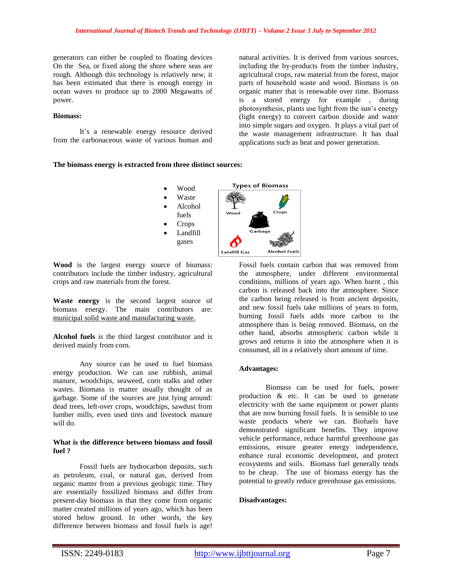generators can either be coupled to floating devices On the Sea, or fixed along the shore where seas are rough. Although this technology is relatively new, it has been estimated that there is enough energy in ocean waves to produce up to 2000 Megawatts of power.

## **Biomass:**

It's a renewable energy resource derived from the carbonaceous waste of various human and natural activities. It is derived from various sources, including the by-products from the timber industry, agricultural crops, raw material from the forest, major parts of household waste and wood. Biomass is on organic matter that is renewable over time. Biomass is a stored energy for example , during photosynthesis, plants use light from the sun's energy (light energy) to convert carbon dioxide and water into simple sugars and oxygen. It plays a vital part of the waste management infrastructure. It has dual applications such as heat and power generation.

#### **The biomass energy is extracted from three distinct sources:**



**Wood** is the largest energy source of biomass: contributors include the timber industry, agricultural crops and raw materials from the forest.

**Waste energy** is the second largest source of biomass energy. The main contributors are: municipal solid waste and manufacturing waste.

**Alcohol fuels** is the third largest contributor and is derived mainly from corn.

Any source can be used to fuel biomass energy production. We can use rubbish, animal manure, woodchips, seaweed, corn stalks and other wastes. Biomass is matter usually thought of as garbage. Some of the sources are just lying around: dead trees, left-over crops, woodchips, sawdust from lumber mills, even used tires and livestock manure will do.

#### **What is the difference between biomass and fossil fuel ?**

Fossil fuels are hydrocarbon deposits, such as petroleum, coal, or natural gas, derived from organic matter from a previous geologic time. They are essentially fossilized biomass and differ from present-day biomass in that they come from organic matter created millions of years ago, which has been stored below ground. In other words, the key difference between biomass and fossil fuels is age!

Fossil fuels contain carbon that was removed from the atmosphere, under different environmental conditions, millions of years ago. When burnt , this carbon is released back into the atmosphere. Since the carbon being released is from ancient deposits, and new fossil fuels take millions of years to form, burning fossil fuels adds more carbon to the atmosphere than is being removed. Biomass, on the other hand, absorbs atmospheric carbon while it grows and returns it into the atmosphere when it is consumed, all in a relatively short amount of time.

## **Advantages:**

Biomass can be used for fuels, power production & etc. It can be used to generate electricity with the same equipment or power plants that are now burning fossil fuels. It is sensible to use waste products where we can. Biofuels have demonstrated significant benefits. They improve vehicle performance, reduce harmful greenhouse gas emissions, ensure greater energy independence, enhance rural economic development, and protect ecosystems and soils. Biomass fuel generally tends to be cheap. The use of biomass energy has the potential to greatly reduce greenhouse gas emissions.

## **Disadvantages:**